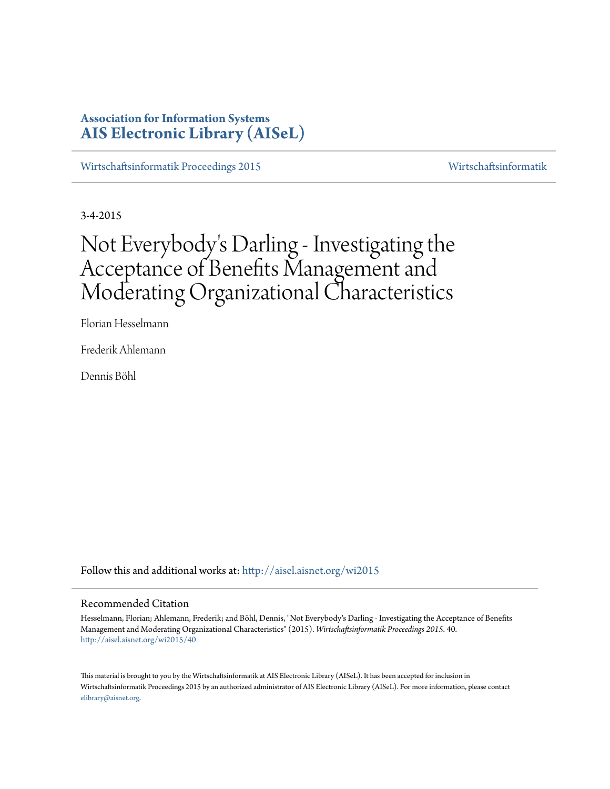# **Association for Information Systems [AIS Electronic Library \(AISeL\)](http://aisel.aisnet.org?utm_source=aisel.aisnet.org%2Fwi2015%2F40&utm_medium=PDF&utm_campaign=PDFCoverPages)**

[Wirtschaftsinformatik Proceedings 2015](http://aisel.aisnet.org/wi2015?utm_source=aisel.aisnet.org%2Fwi2015%2F40&utm_medium=PDF&utm_campaign=PDFCoverPages) [Wirtschaftsinformatik](http://aisel.aisnet.org/wi?utm_source=aisel.aisnet.org%2Fwi2015%2F40&utm_medium=PDF&utm_campaign=PDFCoverPages)

3-4-2015

# Not Everybody 's Darling - Investigating the Acceptance of Benefits Management and Moderating Organizational Characteristics

Florian Hesselmann

Frederik Ahlemann

Dennis Böhl

Follow this and additional works at: [http://aisel.aisnet.org/wi2015](http://aisel.aisnet.org/wi2015?utm_source=aisel.aisnet.org%2Fwi2015%2F40&utm_medium=PDF&utm_campaign=PDFCoverPages)

## Recommended Citation

Hesselmann, Florian; Ahlemann, Frederik; and Böhl, Dennis, "Not Everybody's Darling - Investigating the Acceptance of Benefits Management and Moderating Organizational Characteristics" (2015). *Wirtschaftsinformatik Proceedings 2015*. 40. [http://aisel.aisnet.org/wi2015/40](http://aisel.aisnet.org/wi2015/40?utm_source=aisel.aisnet.org%2Fwi2015%2F40&utm_medium=PDF&utm_campaign=PDFCoverPages)

This material is brought to you by the Wirtschaftsinformatik at AIS Electronic Library (AISeL). It has been accepted for inclusion in Wirtschaftsinformatik Proceedings 2015 by an authorized administrator of AIS Electronic Library (AISeL). For more information, please contact [elibrary@aisnet.org.](mailto:elibrary@aisnet.org%3E)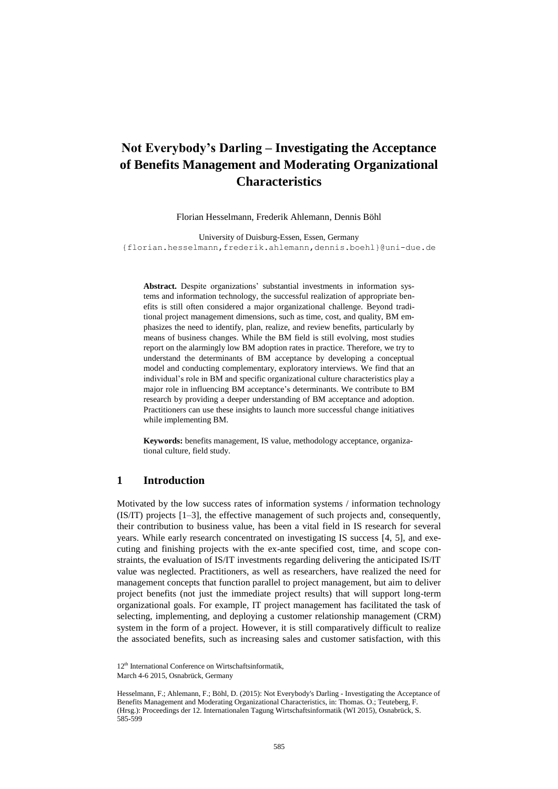# **Not Everybody's Darling – Investigating the Acceptance of Benefits Management and Moderating Organizational Characteristics**

Florian Hesselmann, Frederik Ahlemann, Dennis Böhl

University of Duisburg-Essen, Essen, Germany {florian.hesselmann,frederik.ahlemann,dennis.boehl}@uni-due.de

**Abstract.** Despite organizations' substantial investments in information systems and information technology, the successful realization of appropriate benefits is still often considered a major organizational challenge. Beyond traditional project management dimensions, such as time, cost, and quality, BM emphasizes the need to identify, plan, realize, and review benefits, particularly by means of business changes. While the BM field is still evolving, most studies report on the alarmingly low BM adoption rates in practice. Therefore, we try to understand the determinants of BM acceptance by developing a conceptual model and conducting complementary, exploratory interviews. We find that an individual's role in BM and specific organizational culture characteristics play a major role in influencing BM acceptance's determinants. We contribute to BM research by providing a deeper understanding of BM acceptance and adoption. Practitioners can use these insights to launch more successful change initiatives while implementing BM.

**Keywords:** benefits management, IS value, methodology acceptance, organizational culture, field study.

# **1 Introduction**

Motivated by the low success rates of information systems / information technology (IS/IT) projects [1–3], the effective management of such projects and, consequently, their contribution to business value, has been a vital field in IS research for several years. While early research concentrated on investigating IS success [4, 5], and executing and finishing projects with the ex-ante specified cost, time, and scope constraints, the evaluation of IS/IT investments regarding delivering the anticipated IS/IT value was neglected. Practitioners, as well as researchers, have realized the need for management concepts that function parallel to project management, but aim to deliver project benefits (not just the immediate project results) that will support long-term organizational goals. For example, IT project management has facilitated the task of selecting, implementing, and deploying a customer relationship management (CRM) system in the form of a project. However, it is still comparatively difficult to realize the associated benefits, such as increasing sales and customer satisfaction, with this

<sup>12&</sup>lt;sup>th</sup> International Conference on Wirtschaftsinformatik,

March 4-6 2015, Osnabrück, Germany

Hesselmann, F.; Ahlemann, F.; Böhl, D. (2015): Not Everybody's Darling - Investigating the Acceptance of Benefits Management and Moderating Organizational Characteristics, in: Thomas. O.; Teuteberg, F. (Hrsg.): Proceedings der 12. Internationalen Tagung Wirtschaftsinformatik (WI 2015), Osnabrück, S. 585-599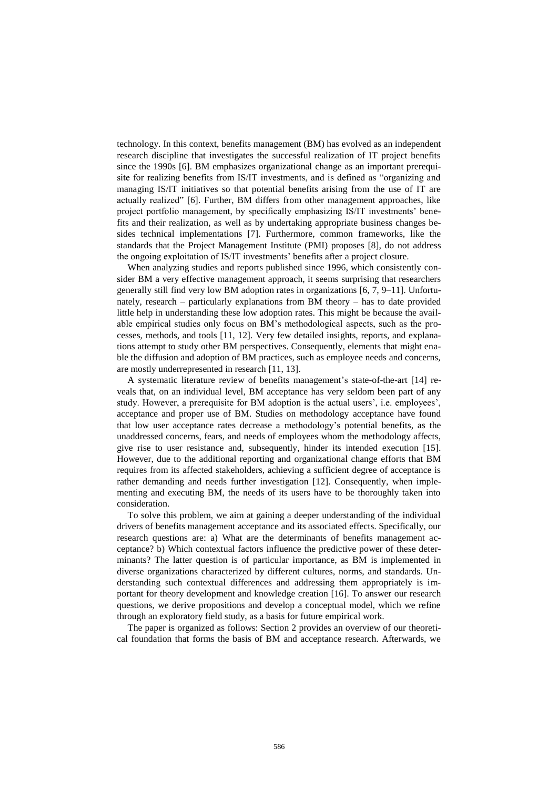technology. In this context, benefits management (BM) has evolved as an independent research discipline that investigates the successful realization of IT project benefits since the 1990s [6]. BM emphasizes organizational change as an important prerequisite for realizing benefits from IS/IT investments, and is defined as "organizing and managing IS/IT initiatives so that potential benefits arising from the use of IT are actually realized" [6]. Further, BM differs from other management approaches, like project portfolio management, by specifically emphasizing IS/IT investments' benefits and their realization, as well as by undertaking appropriate business changes besides technical implementations [7]. Furthermore, common frameworks, like the standards that the Project Management Institute (PMI) proposes [8], do not address the ongoing exploitation of IS/IT investments' benefits after a project closure.

When analyzing studies and reports published since 1996, which consistently consider BM a very effective management approach, it seems surprising that researchers generally still find very low BM adoption rates in organizations [6, 7, 9–11]. Unfortunately, research – particularly explanations from BM theory – has to date provided little help in understanding these low adoption rates. This might be because the available empirical studies only focus on BM's methodological aspects, such as the processes, methods, and tools [11, 12]. Very few detailed insights, reports, and explanations attempt to study other BM perspectives. Consequently, elements that might enable the diffusion and adoption of BM practices, such as employee needs and concerns, are mostly underrepresented in research [11, 13].

A systematic literature review of benefits management's state-of-the-art [14] reveals that, on an individual level, BM acceptance has very seldom been part of any study. However, a prerequisite for BM adoption is the actual users', i.e. employees', acceptance and proper use of BM. Studies on methodology acceptance have found that low user acceptance rates decrease a methodology's potential benefits, as the unaddressed concerns, fears, and needs of employees whom the methodology affects, give rise to user resistance and, subsequently, hinder its intended execution [15]. However, due to the additional reporting and organizational change efforts that BM requires from its affected stakeholders, achieving a sufficient degree of acceptance is rather demanding and needs further investigation [12]. Consequently, when implementing and executing BM, the needs of its users have to be thoroughly taken into consideration.

To solve this problem, we aim at gaining a deeper understanding of the individual drivers of benefits management acceptance and its associated effects. Specifically, our research questions are: a) What are the determinants of benefits management acceptance? b) Which contextual factors influence the predictive power of these determinants? The latter question is of particular importance, as BM is implemented in diverse organizations characterized by different cultures, norms, and standards. Understanding such contextual differences and addressing them appropriately is important for theory development and knowledge creation [16]. To answer our research questions, we derive propositions and develop a conceptual model, which we refine through an exploratory field study, as a basis for future empirical work.

The paper is organized as follows: Section 2 provides an overview of our theoretical foundation that forms the basis of BM and acceptance research. Afterwards, we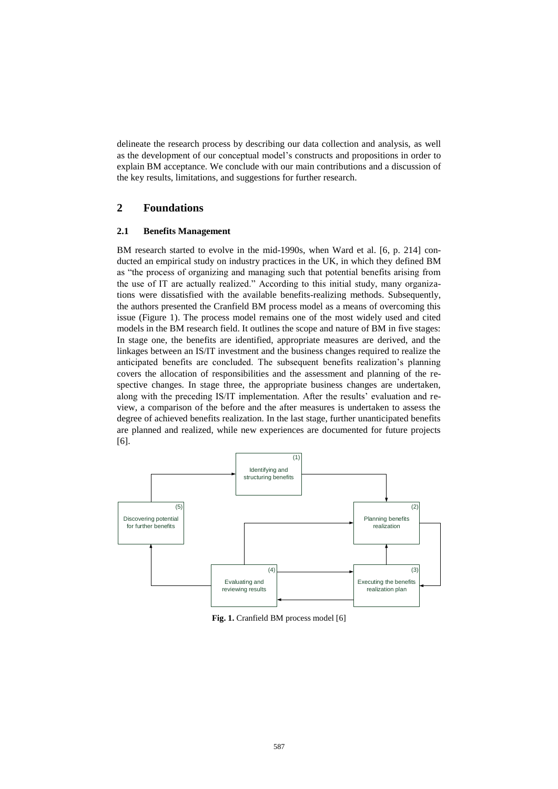delineate the research process by describing our data collection and analysis, as well as the development of our conceptual model's constructs and propositions in order to explain BM acceptance. We conclude with our main contributions and a discussion of the key results, limitations, and suggestions for further research.

# **2 Foundations**

## **2.1 Benefits Management**

BM research started to evolve in the mid-1990s, when Ward et al. [6, p. 214] conducted an empirical study on industry practices in the UK, in which they defined BM as "the process of organizing and managing such that potential benefits arising from the use of IT are actually realized." According to this initial study, many organizations were dissatisfied with the available benefits-realizing methods. Subsequently, the authors presented the Cranfield BM process model as a means of overcoming this issue (Figure 1). The process model remains one of the most widely used and cited models in the BM research field. It outlines the scope and nature of BM in five stages: In stage one, the benefits are identified, appropriate measures are derived, and the linkages between an IS/IT investment and the business changes required to realize the anticipated benefits are concluded. The subsequent benefits realization's planning covers the allocation of responsibilities and the assessment and planning of the respective changes. In stage three, the appropriate business changes are undertaken, along with the preceding IS/IT implementation. After the results' evaluation and review, a comparison of the before and the after measures is undertaken to assess the degree of achieved benefits realization. In the last stage, further unanticipated benefits are planned and realized, while new experiences are documented for future projects [6].



**Fig. 1.** Cranfield BM process model [6]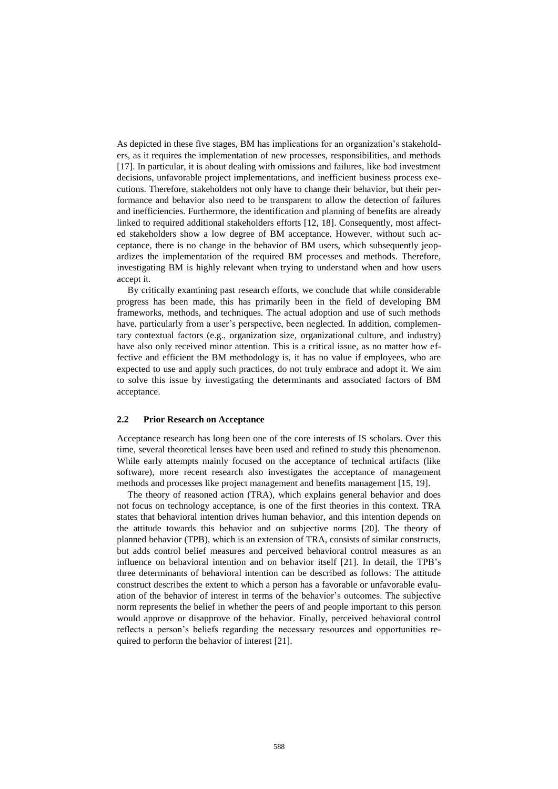As depicted in these five stages, BM has implications for an organization's stakeholders, as it requires the implementation of new processes, responsibilities, and methods [17]. In particular, it is about dealing with omissions and failures, like bad investment decisions, unfavorable project implementations, and inefficient business process executions. Therefore, stakeholders not only have to change their behavior, but their performance and behavior also need to be transparent to allow the detection of failures and inefficiencies. Furthermore, the identification and planning of benefits are already linked to required additional stakeholders efforts [12, 18]. Consequently, most affected stakeholders show a low degree of BM acceptance. However, without such acceptance, there is no change in the behavior of BM users, which subsequently jeopardizes the implementation of the required BM processes and methods. Therefore, investigating BM is highly relevant when trying to understand when and how users accept it.

By critically examining past research efforts, we conclude that while considerable progress has been made, this has primarily been in the field of developing BM frameworks, methods, and techniques. The actual adoption and use of such methods have, particularly from a user's perspective, been neglected. In addition, complementary contextual factors (e.g., organization size, organizational culture, and industry) have also only received minor attention. This is a critical issue, as no matter how effective and efficient the BM methodology is, it has no value if employees, who are expected to use and apply such practices, do not truly embrace and adopt it. We aim to solve this issue by investigating the determinants and associated factors of BM acceptance.

#### **2.2 Prior Research on Acceptance**

Acceptance research has long been one of the core interests of IS scholars. Over this time, several theoretical lenses have been used and refined to study this phenomenon. While early attempts mainly focused on the acceptance of technical artifacts (like software), more recent research also investigates the acceptance of management methods and processes like project management and benefits management [15, 19].

The theory of reasoned action (TRA), which explains general behavior and does not focus on technology acceptance, is one of the first theories in this context. TRA states that behavioral intention drives human behavior, and this intention depends on the attitude towards this behavior and on subjective norms [20]. The theory of planned behavior (TPB), which is an extension of TRA, consists of similar constructs, but adds control belief measures and perceived behavioral control measures as an influence on behavioral intention and on behavior itself [21]. In detail, the TPB's three determinants of behavioral intention can be described as follows: The attitude construct describes the extent to which a person has a favorable or unfavorable evaluation of the behavior of interest in terms of the behavior's outcomes. The subjective norm represents the belief in whether the peers of and people important to this person would approve or disapprove of the behavior. Finally, perceived behavioral control reflects a person's beliefs regarding the necessary resources and opportunities required to perform the behavior of interest [21].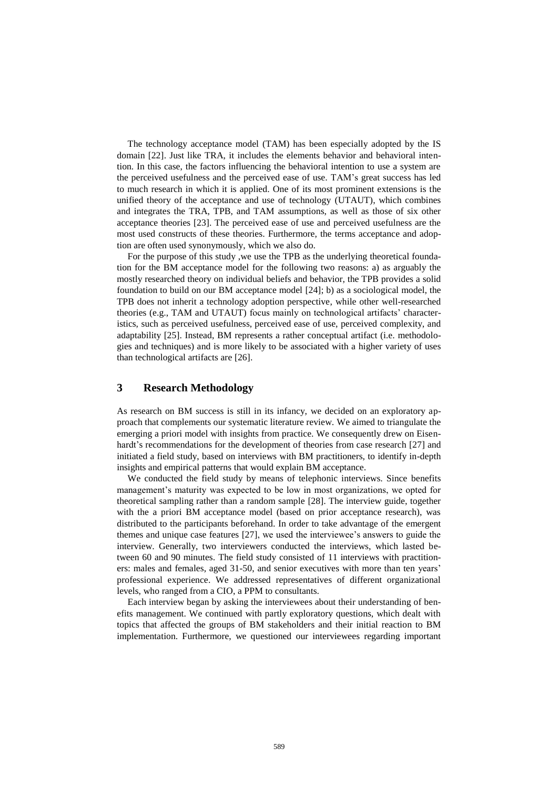The technology acceptance model (TAM) has been especially adopted by the IS domain [22]. Just like TRA, it includes the elements behavior and behavioral intention. In this case, the factors influencing the behavioral intention to use a system are the perceived usefulness and the perceived ease of use. TAM's great success has led to much research in which it is applied. One of its most prominent extensions is the unified theory of the acceptance and use of technology (UTAUT), which combines and integrates the TRA, TPB, and TAM assumptions, as well as those of six other acceptance theories [23]. The perceived ease of use and perceived usefulness are the most used constructs of these theories. Furthermore, the terms acceptance and adoption are often used synonymously, which we also do.

For the purpose of this study ,we use the TPB as the underlying theoretical foundation for the BM acceptance model for the following two reasons: a) as arguably the mostly researched theory on individual beliefs and behavior, the TPB provides a solid foundation to build on our BM acceptance model [24]; b) as a sociological model, the TPB does not inherit a technology adoption perspective, while other well-researched theories (e.g., TAM and UTAUT) focus mainly on technological artifacts' characteristics, such as perceived usefulness, perceived ease of use, perceived complexity, and adaptability [25]. Instead, BM represents a rather conceptual artifact (i.e. methodologies and techniques) and is more likely to be associated with a higher variety of uses than technological artifacts are [26].

# **3 Research Methodology**

As research on BM success is still in its infancy, we decided on an exploratory approach that complements our systematic literature review. We aimed to triangulate the emerging a priori model with insights from practice. We consequently drew on Eisenhardt's recommendations for the development of theories from case research [27] and initiated a field study, based on interviews with BM practitioners, to identify in-depth insights and empirical patterns that would explain BM acceptance.

We conducted the field study by means of telephonic interviews. Since benefits management's maturity was expected to be low in most organizations, we opted for theoretical sampling rather than a random sample [28]. The interview guide, together with the a priori BM acceptance model (based on prior acceptance research), was distributed to the participants beforehand. In order to take advantage of the emergent themes and unique case features [27], we used the interviewee's answers to guide the interview. Generally, two interviewers conducted the interviews, which lasted between 60 and 90 minutes. The field study consisted of 11 interviews with practitioners: males and females, aged 31-50, and senior executives with more than ten years' professional experience. We addressed representatives of different organizational levels, who ranged from a CIO, a PPM to consultants.

Each interview began by asking the interviewees about their understanding of benefits management. We continued with partly exploratory questions, which dealt with topics that affected the groups of BM stakeholders and their initial reaction to BM implementation. Furthermore, we questioned our interviewees regarding important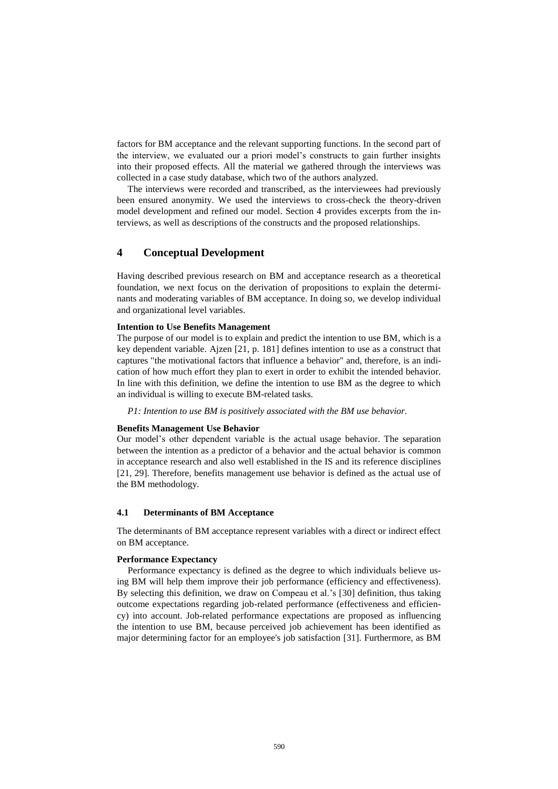factors for BM acceptance and the relevant supporting functions. In the second part of the interview, we evaluated our a priori model's constructs to gain further insights into their proposed effects. All the material we gathered through the interviews was collected in a case study database, which two of the authors analyzed.

The interviews were recorded and transcribed, as the interviewees had previously been ensured anonymity. We used the interviews to cross-check the theory-driven model development and refined our model. Section 4 provides excerpts from the interviews, as well as descriptions of the constructs and the proposed relationships.

# **4 Conceptual Development**

Having described previous research on BM and acceptance research as a theoretical foundation, we next focus on the derivation of propositions to explain the determinants and moderating variables of BM acceptance. In doing so, we develop individual and organizational level variables.

#### **Intention to Use Benefits Management**

The purpose of our model is to explain and predict the intention to use BM, which is a key dependent variable. Ajzen [21, p. 181] defines intention to use as a construct that captures "the motivational factors that influence a behavior" and, therefore, is an indication of how much effort they plan to exert in order to exhibit the intended behavior. In line with this definition, we define the intention to use BM as the degree to which an individual is willing to execute BM-related tasks.

*P1: Intention to use BM is positively associated with the BM use behavior.*

#### **Benefits Management Use Behavior**

Our model's other dependent variable is the actual usage behavior. The separation between the intention as a predictor of a behavior and the actual behavior is common in acceptance research and also well established in the IS and its reference disciplines [21, 29]. Therefore, benefits management use behavior is defined as the actual use of the BM methodology.

#### **4.1 Determinants of BM Acceptance**

The determinants of BM acceptance represent variables with a direct or indirect effect on BM acceptance.

#### **Performance Expectancy**

Performance expectancy is defined as the degree to which individuals believe using BM will help them improve their job performance (efficiency and effectiveness). By selecting this definition, we draw on Compeau et al.'s [30] definition, thus taking outcome expectations regarding job-related performance (effectiveness and efficiency) into account. Job-related performance expectations are proposed as influencing the intention to use BM, because perceived job achievement has been identified as major determining factor for an employee's job satisfaction [31]. Furthermore, as BM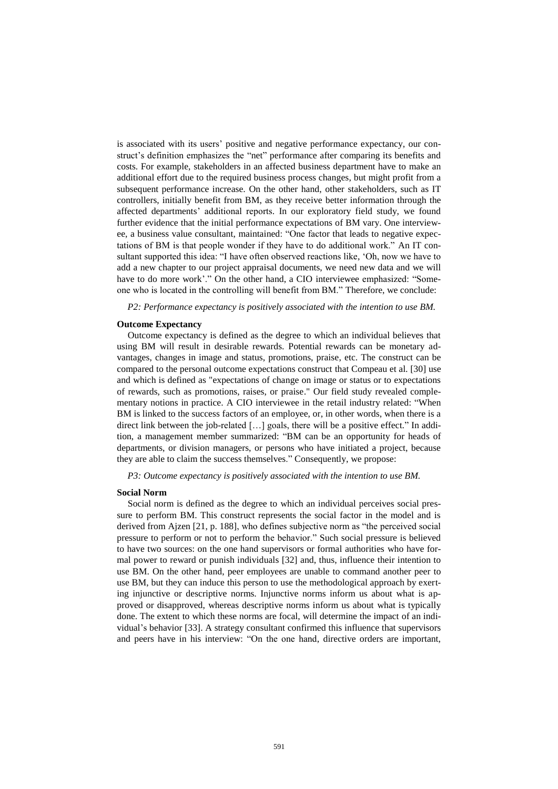is associated with its users' positive and negative performance expectancy, our construct's definition emphasizes the "net" performance after comparing its benefits and costs. For example, stakeholders in an affected business department have to make an additional effort due to the required business process changes, but might profit from a subsequent performance increase. On the other hand, other stakeholders, such as IT controllers, initially benefit from BM, as they receive better information through the affected departments' additional reports. In our exploratory field study, we found further evidence that the initial performance expectations of BM vary. One interviewee, a business value consultant, maintained: "One factor that leads to negative expectations of BM is that people wonder if they have to do additional work." An IT consultant supported this idea: "I have often observed reactions like, 'Oh, now we have to add a new chapter to our project appraisal documents, we need new data and we will have to do more work'." On the other hand, a CIO interviewee emphasized: "Someone who is located in the controlling will benefit from BM." Therefore, we conclude:

*P2: Performance expectancy is positively associated with the intention to use BM.*

#### **Outcome Expectancy**

Outcome expectancy is defined as the degree to which an individual believes that using BM will result in desirable rewards. Potential rewards can be monetary advantages, changes in image and status, promotions, praise, etc. The construct can be compared to the personal outcome expectations construct that Compeau et al. [30] use and which is defined as "expectations of change on image or status or to expectations of rewards, such as promotions, raises, or praise." Our field study revealed complementary notions in practice. A CIO interviewee in the retail industry related: "When BM is linked to the success factors of an employee, or, in other words, when there is a direct link between the job-related […] goals, there will be a positive effect." In addition, a management member summarized: "BM can be an opportunity for heads of departments, or division managers, or persons who have initiated a project, because they are able to claim the success themselves." Consequently, we propose:

#### *P3: Outcome expectancy is positively associated with the intention to use BM.*

#### **Social Norm**

Social norm is defined as the degree to which an individual perceives social pressure to perform BM. This construct represents the social factor in the model and is derived from Ajzen [21, p. 188], who defines subjective norm as "the perceived social pressure to perform or not to perform the behavior." Such social pressure is believed to have two sources: on the one hand supervisors or formal authorities who have formal power to reward or punish individuals [32] and, thus, influence their intention to use BM. On the other hand, peer employees are unable to command another peer to use BM, but they can induce this person to use the methodological approach by exerting injunctive or descriptive norms. Injunctive norms inform us about what is approved or disapproved, whereas descriptive norms inform us about what is typically done. The extent to which these norms are focal, will determine the impact of an individual's behavior [33]. A strategy consultant confirmed this influence that supervisors and peers have in his interview: "On the one hand, directive orders are important,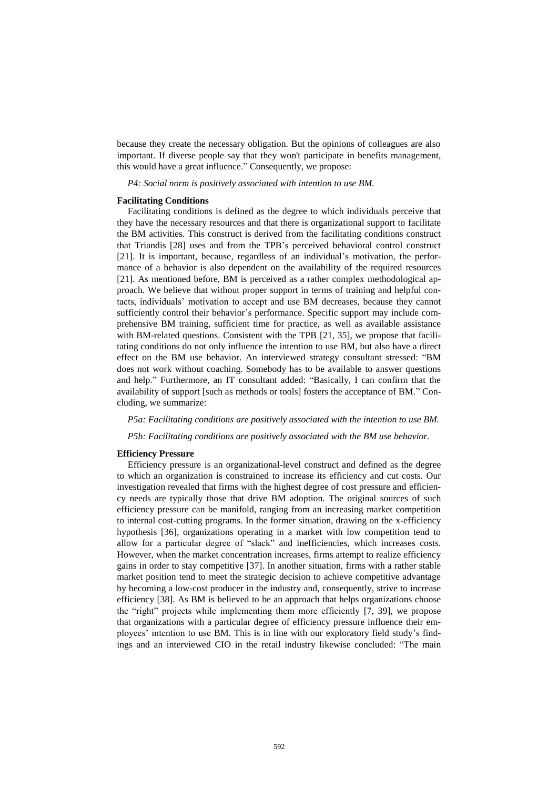because they create the necessary obligation. But the opinions of colleagues are also important. If diverse people say that they won't participate in benefits management, this would have a great influence." Consequently, we propose:

*P4: Social norm is positively associated with intention to use BM.* 

#### **Facilitating Conditions**

Facilitating conditions is defined as the degree to which individuals perceive that they have the necessary resources and that there is organizational support to facilitate the BM activities. This construct is derived from the facilitating conditions construct that Triandis [28] uses and from the TPB's perceived behavioral control construct [21]. It is important, because, regardless of an individual's motivation, the performance of a behavior is also dependent on the availability of the required resources [21]. As mentioned before, BM is perceived as a rather complex methodological approach. We believe that without proper support in terms of training and helpful contacts, individuals' motivation to accept and use BM decreases, because they cannot sufficiently control their behavior's performance. Specific support may include comprehensive BM training, sufficient time for practice, as well as available assistance with BM-related questions. Consistent with the TPB [21, 35], we propose that facilitating conditions do not only influence the intention to use BM, but also have a direct effect on the BM use behavior. An interviewed strategy consultant stressed: "BM does not work without coaching. Somebody has to be available to answer questions and help." Furthermore, an IT consultant added: "Basically, I can confirm that the availability of support [such as methods or tools] fosters the acceptance of BM." Concluding, we summarize:

*P5a: Facilitating conditions are positively associated with the intention to use BM.*

*P5b: Facilitating conditions are positively associated with the BM use behavior.*

#### **Efficiency Pressure**

Efficiency pressure is an organizational-level construct and defined as the degree to which an organization is constrained to increase its efficiency and cut costs. Our investigation revealed that firms with the highest degree of cost pressure and efficiency needs are typically those that drive BM adoption. The original sources of such efficiency pressure can be manifold, ranging from an increasing market competition to internal cost-cutting programs. In the former situation, drawing on the x-efficiency hypothesis [36], organizations operating in a market with low competition tend to allow for a particular degree of "slack" and inefficiencies, which increases costs. However, when the market concentration increases, firms attempt to realize efficiency gains in order to stay competitive [37]. In another situation, firms with a rather stable market position tend to meet the strategic decision to achieve competitive advantage by becoming a low-cost producer in the industry and, consequently, strive to increase efficiency [38]. As BM is believed to be an approach that helps organizations choose the "right" projects while implementing them more efficiently [7, 39], we propose that organizations with a particular degree of efficiency pressure influence their employees' intention to use BM. This is in line with our exploratory field study's findings and an interviewed CIO in the retail industry likewise concluded: "The main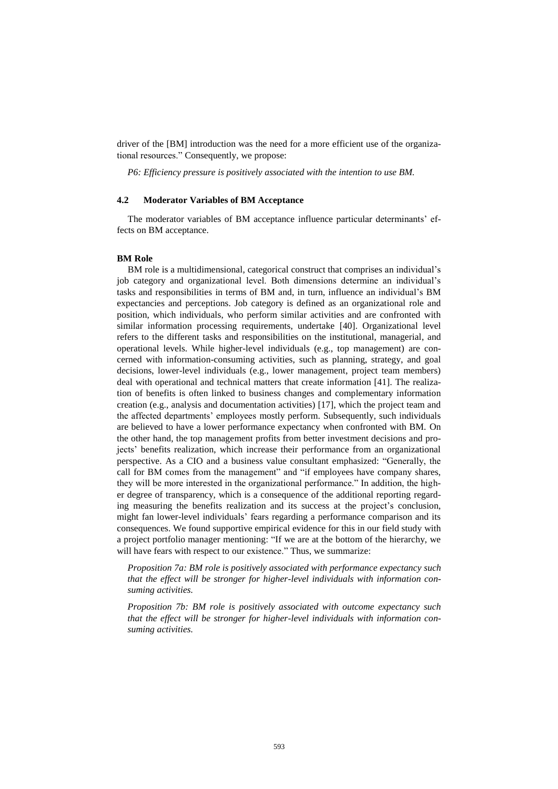driver of the [BM] introduction was the need for a more efficient use of the organizational resources." Consequently, we propose:

*P6: Efficiency pressure is positively associated with the intention to use BM.* 

## **4.2 Moderator Variables of BM Acceptance**

The moderator variables of BM acceptance influence particular determinants' effects on BM acceptance.

#### **BM Role**

BM role is a multidimensional, categorical construct that comprises an individual's job category and organizational level. Both dimensions determine an individual's tasks and responsibilities in terms of BM and, in turn, influence an individual's BM expectancies and perceptions. Job category is defined as an organizational role and position, which individuals, who perform similar activities and are confronted with similar information processing requirements, undertake [40]. Organizational level refers to the different tasks and responsibilities on the institutional, managerial, and operational levels. While higher-level individuals (e.g., top management) are concerned with information-consuming activities, such as planning, strategy, and goal decisions, lower-level individuals (e.g., lower management, project team members) deal with operational and technical matters that create information [41]. The realization of benefits is often linked to business changes and complementary information creation (e.g., analysis and documentation activities) [17], which the project team and the affected departments' employees mostly perform. Subsequently, such individuals are believed to have a lower performance expectancy when confronted with BM. On the other hand, the top management profits from better investment decisions and projects' benefits realization, which increase their performance from an organizational perspective. As a CIO and a business value consultant emphasized: "Generally, the call for BM comes from the management" and "if employees have company shares, they will be more interested in the organizational performance." In addition, the higher degree of transparency, which is a consequence of the additional reporting regarding measuring the benefits realization and its success at the project's conclusion, might fan lower-level individuals' fears regarding a performance comparison and its consequences. We found supportive empirical evidence for this in our field study with a project portfolio manager mentioning: "If we are at the bottom of the hierarchy, we will have fears with respect to our existence." Thus, we summarize:

*Proposition 7a: BM role is positively associated with performance expectancy such that the effect will be stronger for higher-level individuals with information consuming activities.*

*Proposition 7b: BM role is positively associated with outcome expectancy such that the effect will be stronger for higher-level individuals with information consuming activities.*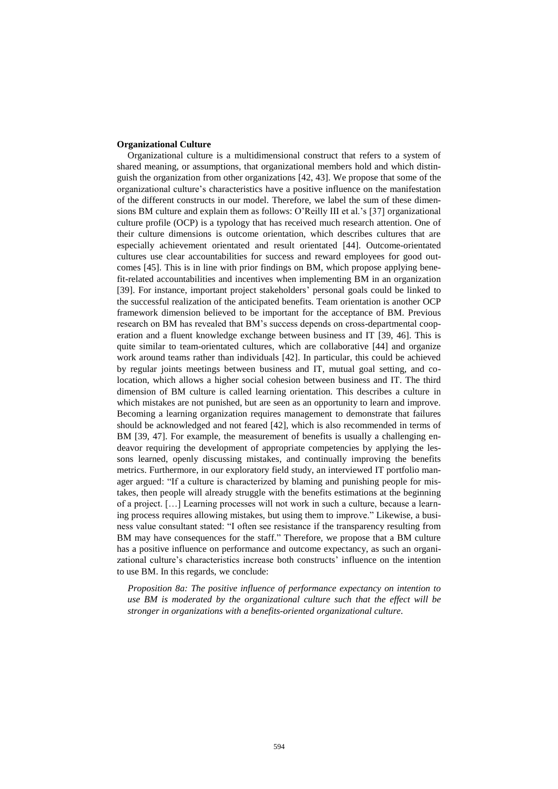#### **Organizational Culture**

Organizational culture is a multidimensional construct that refers to a system of shared meaning, or assumptions, that organizational members hold and which distinguish the organization from other organizations [42, 43]. We propose that some of the organizational culture's characteristics have a positive influence on the manifestation of the different constructs in our model. Therefore, we label the sum of these dimensions BM culture and explain them as follows: O'Reilly III et al.'s [37] organizational culture profile (OCP) is a typology that has received much research attention. One of their culture dimensions is outcome orientation, which describes cultures that are especially achievement orientated and result orientated [44]. Outcome-orientated cultures use clear accountabilities for success and reward employees for good outcomes [45]. This is in line with prior findings on BM, which propose applying benefit-related accountabilities and incentives when implementing BM in an organization [39]. For instance, important project stakeholders' personal goals could be linked to the successful realization of the anticipated benefits. Team orientation is another OCP framework dimension believed to be important for the acceptance of BM. Previous research on BM has revealed that BM's success depends on cross-departmental cooperation and a fluent knowledge exchange between business and IT [39, 46]. This is quite similar to team-orientated cultures, which are collaborative [44] and organize work around teams rather than individuals [42]. In particular, this could be achieved by regular joints meetings between business and IT, mutual goal setting, and colocation, which allows a higher social cohesion between business and IT. The third dimension of BM culture is called learning orientation. This describes a culture in which mistakes are not punished, but are seen as an opportunity to learn and improve. Becoming a learning organization requires management to demonstrate that failures should be acknowledged and not feared [42], which is also recommended in terms of BM [39, 47]. For example, the measurement of benefits is usually a challenging endeavor requiring the development of appropriate competencies by applying the lessons learned, openly discussing mistakes, and continually improving the benefits metrics. Furthermore, in our exploratory field study, an interviewed IT portfolio manager argued: "If a culture is characterized by blaming and punishing people for mistakes, then people will already struggle with the benefits estimations at the beginning of a project. […] Learning processes will not work in such a culture, because a learning process requires allowing mistakes, but using them to improve." Likewise, a business value consultant stated: "I often see resistance if the transparency resulting from BM may have consequences for the staff." Therefore, we propose that a BM culture has a positive influence on performance and outcome expectancy, as such an organizational culture's characteristics increase both constructs' influence on the intention to use BM. In this regards, we conclude:

*Proposition 8a: The positive influence of performance expectancy on intention to use BM is moderated by the organizational culture such that the effect will be stronger in organizations with a benefits-oriented organizational culture.*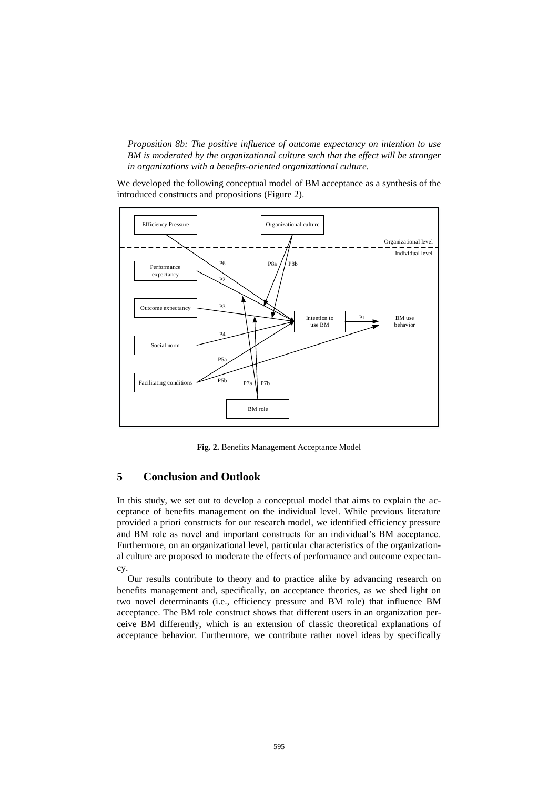*Proposition 8b: The positive influence of outcome expectancy on intention to use BM is moderated by the organizational culture such that the effect will be stronger in organizations with a benefits-oriented organizational culture.*

We developed the following conceptual model of BM acceptance as a synthesis of the introduced constructs and propositions (Figure 2).



**Fig. 2.** Benefits Management Acceptance Model

# **5 Conclusion and Outlook**

In this study, we set out to develop a conceptual model that aims to explain the acceptance of benefits management on the individual level. While previous literature provided a priori constructs for our research model, we identified efficiency pressure and BM role as novel and important constructs for an individual's BM acceptance. Furthermore, on an organizational level, particular characteristics of the organizational culture are proposed to moderate the effects of performance and outcome expectancy.

Our results contribute to theory and to practice alike by advancing research on benefits management and, specifically, on acceptance theories, as we shed light on two novel determinants (i.e., efficiency pressure and BM role) that influence BM acceptance. The BM role construct shows that different users in an organization perceive BM differently, which is an extension of classic theoretical explanations of acceptance behavior. Furthermore, we contribute rather novel ideas by specifically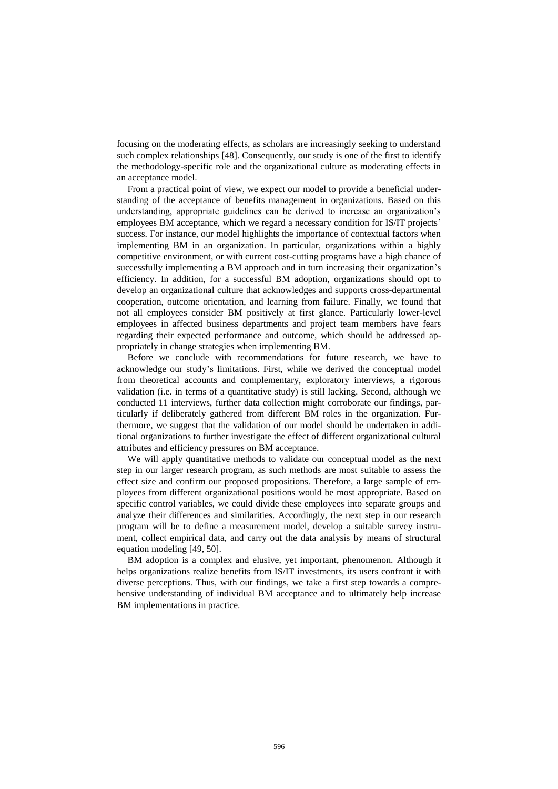focusing on the moderating effects, as scholars are increasingly seeking to understand such complex relationships [48]. Consequently, our study is one of the first to identify the methodology-specific role and the organizational culture as moderating effects in an acceptance model.

From a practical point of view, we expect our model to provide a beneficial understanding of the acceptance of benefits management in organizations. Based on this understanding, appropriate guidelines can be derived to increase an organization's employees BM acceptance, which we regard a necessary condition for IS/IT projects' success. For instance, our model highlights the importance of contextual factors when implementing BM in an organization. In particular, organizations within a highly competitive environment, or with current cost-cutting programs have a high chance of successfully implementing a BM approach and in turn increasing their organization's efficiency. In addition, for a successful BM adoption, organizations should opt to develop an organizational culture that acknowledges and supports cross-departmental cooperation, outcome orientation, and learning from failure. Finally, we found that not all employees consider BM positively at first glance. Particularly lower-level employees in affected business departments and project team members have fears regarding their expected performance and outcome, which should be addressed appropriately in change strategies when implementing BM.

Before we conclude with recommendations for future research, we have to acknowledge our study's limitations. First, while we derived the conceptual model from theoretical accounts and complementary, exploratory interviews, a rigorous validation (i.e. in terms of a quantitative study) is still lacking. Second, although we conducted 11 interviews, further data collection might corroborate our findings, particularly if deliberately gathered from different BM roles in the organization. Furthermore, we suggest that the validation of our model should be undertaken in additional organizations to further investigate the effect of different organizational cultural attributes and efficiency pressures on BM acceptance.

We will apply quantitative methods to validate our conceptual model as the next step in our larger research program, as such methods are most suitable to assess the effect size and confirm our proposed propositions. Therefore, a large sample of employees from different organizational positions would be most appropriate. Based on specific control variables, we could divide these employees into separate groups and analyze their differences and similarities. Accordingly, the next step in our research program will be to define a measurement model, develop a suitable survey instrument, collect empirical data, and carry out the data analysis by means of structural equation modeling [49, 50].

BM adoption is a complex and elusive, yet important, phenomenon. Although it helps organizations realize benefits from IS/IT investments, its users confront it with diverse perceptions. Thus, with our findings, we take a first step towards a comprehensive understanding of individual BM acceptance and to ultimately help increase BM implementations in practice.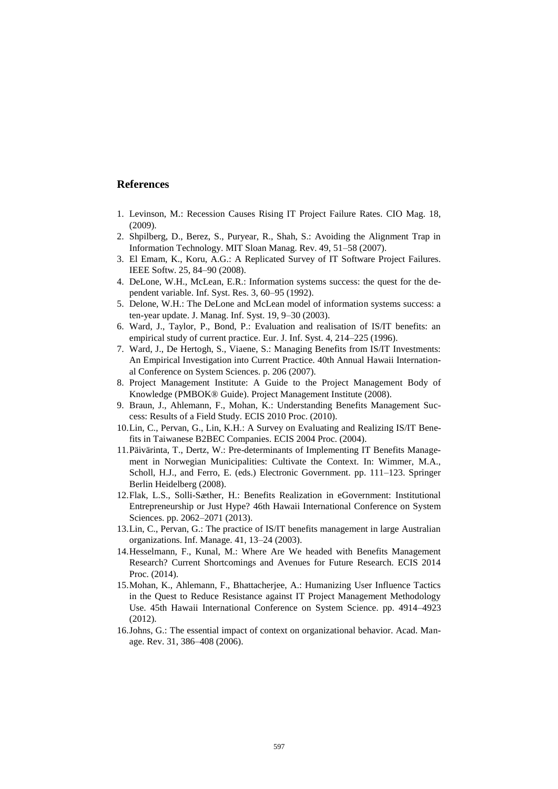# **References**

- 1. Levinson, M.: Recession Causes Rising IT Project Failure Rates. CIO Mag. 18,  $(2009)$
- 2. Shpilberg, D., Berez, S., Puryear, R., Shah, S.: Avoiding the Alignment Trap in Information Technology. MIT Sloan Manag. Rev. 49, 51–58 (2007).
- 3. El Emam, K., Koru, A.G.: A Replicated Survey of IT Software Project Failures. IEEE Softw. 25, 84–90 (2008).
- 4. DeLone, W.H., McLean, E.R.: Information systems success: the quest for the dependent variable. Inf. Syst. Res. 3, 60–95 (1992).
- 5. Delone, W.H.: The DeLone and McLean model of information systems success: a ten-year update. J. Manag. Inf. Syst. 19, 9–30 (2003).
- 6. Ward, J., Taylor, P., Bond, P.: Evaluation and realisation of IS/IT benefits: an empirical study of current practice. Eur. J. Inf. Syst. 4, 214–225 (1996).
- 7. Ward, J., De Hertogh, S., Viaene, S.: Managing Benefits from IS/IT Investments: An Empirical Investigation into Current Practice. 40th Annual Hawaii International Conference on System Sciences. p. 206 (2007).
- 8. Project Management Institute: A Guide to the Project Management Body of Knowledge (PMBOK® Guide). Project Management Institute (2008).
- 9. Braun, J., Ahlemann, F., Mohan, K.: Understanding Benefits Management Success: Results of a Field Study. ECIS 2010 Proc. (2010).
- 10.Lin, C., Pervan, G., Lin, K.H.: A Survey on Evaluating and Realizing IS/IT Benefits in Taiwanese B2BEC Companies. ECIS 2004 Proc. (2004).
- 11.Päivärinta, T., Dertz, W.: Pre-determinants of Implementing IT Benefits Management in Norwegian Municipalities: Cultivate the Context. In: Wimmer, M.A., Scholl, H.J., and Ferro, E. (eds.) Electronic Government. pp. 111–123. Springer Berlin Heidelberg (2008).
- 12.Flak, L.S., Solli-Sæther, H.: Benefits Realization in eGovernment: Institutional Entrepreneurship or Just Hype? 46th Hawaii International Conference on System Sciences. pp. 2062–2071 (2013).
- 13.Lin, C., Pervan, G.: The practice of IS/IT benefits management in large Australian organizations. Inf. Manage. 41, 13–24 (2003).
- 14.Hesselmann, F., Kunal, M.: Where Are We headed with Benefits Management Research? Current Shortcomings and Avenues for Future Research. ECIS 2014 Proc. (2014).
- 15.Mohan, K., Ahlemann, F., Bhattacherjee, A.: Humanizing User Influence Tactics in the Quest to Reduce Resistance against IT Project Management Methodology Use. 45th Hawaii International Conference on System Science. pp. 4914–4923 (2012).
- 16.Johns, G.: The essential impact of context on organizational behavior. Acad. Manage. Rev. 31, 386–408 (2006).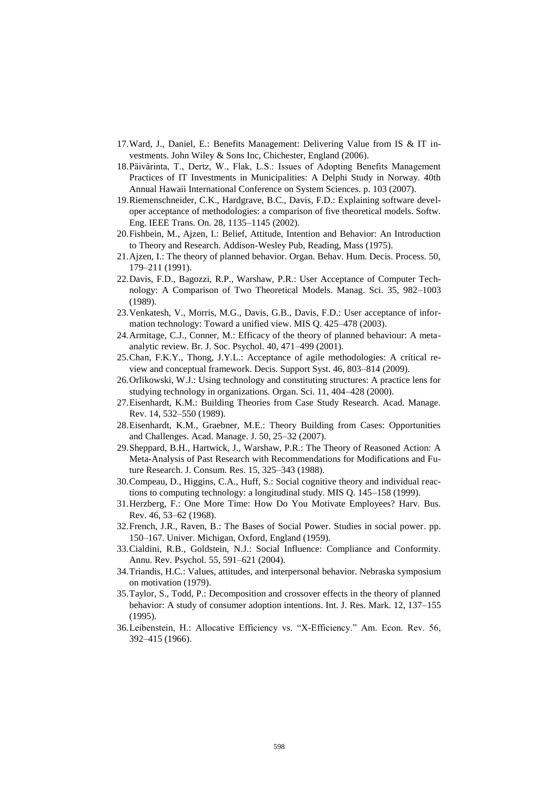- 17.Ward, J., Daniel, E.: Benefits Management: Delivering Value from IS & IT investments. John Wiley & Sons Inc, Chichester, England (2006).
- 18.Päivärinta, T., Dertz, W., Flak, L.S.: Issues of Adopting Benefits Management Practices of IT Investments in Municipalities: A Delphi Study in Norway. 40th Annual Hawaii International Conference on System Sciences. p. 103 (2007).
- 19.Riemenschneider, C.K., Hardgrave, B.C., Davis, F.D.: Explaining software developer acceptance of methodologies: a comparison of five theoretical models. Softw. Eng. IEEE Trans. On. 28, 1135–1145 (2002).
- 20.Fishbein, M., Ajzen, I.: Belief, Attitude, Intention and Behavior: An Introduction to Theory and Research. Addison-Wesley Pub, Reading, Mass (1975).
- 21.Ajzen, I.: The theory of planned behavior. Organ. Behav. Hum. Decis. Process. 50, 179–211 (1991).
- 22.Davis, F.D., Bagozzi, R.P., Warshaw, P.R.: User Acceptance of Computer Technology: A Comparison of Two Theoretical Models. Manag. Sci. 35, 982–1003 (1989).
- 23.Venkatesh, V., Morris, M.G., Davis, G.B., Davis, F.D.: User acceptance of information technology: Toward a unified view. MIS Q. 425–478 (2003).
- 24.Armitage, C.J., Conner, M.: Efficacy of the theory of planned behaviour: A metaanalytic review. Br. J. Soc. Psychol. 40, 471–499 (2001).
- 25.Chan, F.K.Y., Thong, J.Y.L.: Acceptance of agile methodologies: A critical review and conceptual framework. Decis. Support Syst. 46, 803–814 (2009).
- 26.Orlikowski, W.J.: Using technology and constituting structures: A practice lens for studying technology in organizations. Organ. Sci. 11, 404–428 (2000).
- 27.Eisenhardt, K.M.: Building Theories from Case Study Research. Acad. Manage. Rev. 14, 532–550 (1989).
- 28.Eisenhardt, K.M., Graebner, M.E.: Theory Building from Cases: Opportunities and Challenges. Acad. Manage. J. 50, 25–32 (2007).
- 29.Sheppard, B.H., Hartwick, J., Warshaw, P.R.: The Theory of Reasoned Action: A Meta-Analysis of Past Research with Recommendations for Modifications and Future Research. J. Consum. Res. 15, 325–343 (1988).
- 30.Compeau, D., Higgins, C.A., Huff, S.: Social cognitive theory and individual reactions to computing technology: a longitudinal study. MIS Q. 145–158 (1999).
- 31.Herzberg, F.: One More Time: How Do You Motivate Employees? Harv. Bus. Rev. 46, 53–62 (1968).
- 32.French, J.R., Raven, B.: The Bases of Social Power. Studies in social power. pp. 150–167. Univer. Michigan, Oxford, England (1959).
- 33.Cialdini, R.B., Goldstein, N.J.: Social Influence: Compliance and Conformity. Annu. Rev. Psychol. 55, 591–621 (2004).
- 34.Triandis, H.C.: Values, attitudes, and interpersonal behavior. Nebraska symposium on motivation (1979).
- 35.Taylor, S., Todd, P.: Decomposition and crossover effects in the theory of planned behavior: A study of consumer adoption intentions. Int. J. Res. Mark. 12, 137–155 (1995).
- 36.Leibenstein, H.: Allocative Efficiency vs. "X-Efficiency." Am. Econ. Rev. 56, 392–415 (1966).